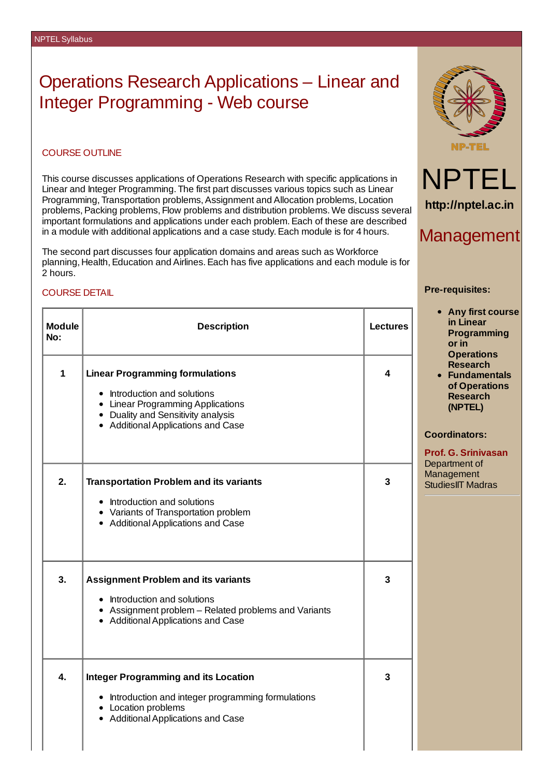# Operations Research Applications – Linear and Integer Programming - Web course

# COURSE OUTLINE

This course discusses applications of Operations Research with specific applications in Linear and Integer Programming. The first part discusses various topics such as Linear Programming, Transportation problems,Assignment and Allocation problems, Location problems, Packing problems, Flow problems and distribution problems. We discuss several important formulations and applications under each problem.Each of these are described in a module with additional applications and a case study.Each module is for 4 hours.

The second part discusses four application domains and areas such as Workforce planning, Health, Education and Airlines. Each has five applications and each module is for 2 hours.

# COURSE DETAIL

| <b>Module</b><br>No: | <b>Description</b>                                                                                                                                                                      | <b>Lectures</b> |
|----------------------|-----------------------------------------------------------------------------------------------------------------------------------------------------------------------------------------|-----------------|
| $\mathbf{1}$         | <b>Linear Programming formulations</b><br>• Introduction and solutions<br>• Linear Programming Applications<br>• Duality and Sensitivity analysis<br>• Additional Applications and Case | 4               |
| $\mathbf{2}$ .       | <b>Transportation Problem and its variants</b><br>• Introduction and solutions<br>• Variants of Transportation problem<br>• Additional Applications and Case                            | 3               |
| 3.                   | <b>Assignment Problem and its variants</b><br>• Introduction and solutions<br>• Assignment problem - Related problems and Variants<br>• Additional Applications and Case                | 3               |
| 4.                   | <b>Integer Programming and its Location</b><br>• Introduction and integer programming formulations<br>• Location problems<br>• Additional Applications and Case                         | 3               |





# Management

#### **Pre-requisites:**

- **Any first course in Linear Programming or in Operations Research**
- **Fundamentals of Operations Research (NPTEL)**

### **Coordinators:**

**Prof. G. Srinivasan** Department of Management StudiesIIT Madras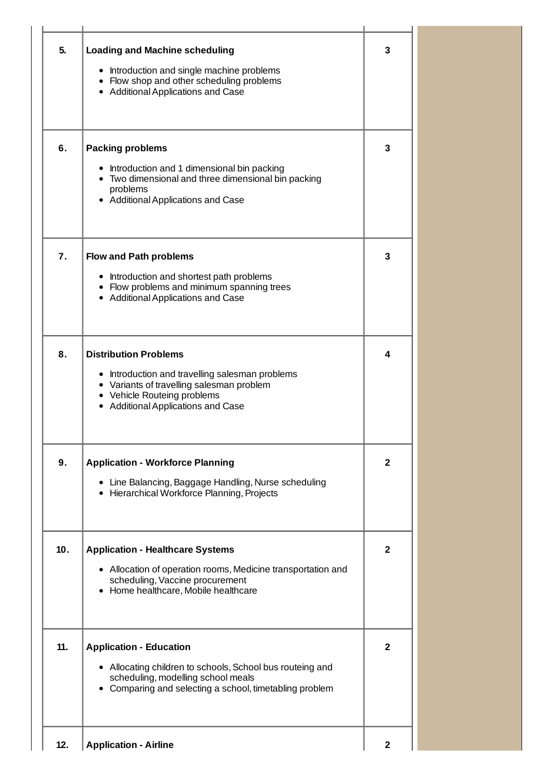| 5.  | <b>Loading and Machine scheduling</b><br>• Introduction and single machine problems<br>• Flow shop and other scheduling problems<br>• Additional Applications and Case                            | 3              |
|-----|---------------------------------------------------------------------------------------------------------------------------------------------------------------------------------------------------|----------------|
| 6.  | <b>Packing problems</b><br>• Introduction and 1 dimensional bin packing<br>• Two dimensional and three dimensional bin packing<br>problems<br>• Additional Applications and Case                  | 3              |
| 7.  | <b>Flow and Path problems</b><br>• Introduction and shortest path problems<br>• Flow problems and minimum spanning trees<br>• Additional Applications and Case                                    | 3              |
| 8.  | <b>Distribution Problems</b><br>• Introduction and travelling salesman problems<br>• Variants of travelling salesman problem<br>• Vehicle Routeing problems<br>• Additional Applications and Case | 4              |
| 9.  | <b>Application - Workforce Planning</b><br>• Line Balancing, Baggage Handling, Nurse scheduling<br>• Hierarchical Workforce Planning, Projects                                                    | 2              |
| 10. | <b>Application - Healthcare Systems</b><br>• Allocation of operation rooms, Medicine transportation and<br>scheduling, Vaccine procurement<br>• Home healthcare, Mobile healthcare                | 2              |
| 11. | <b>Application - Education</b><br>• Allocating children to schools, School bus routeing and<br>scheduling, modelling school meals<br>• Comparing and selecting a school, timetabling problem      | 2              |
| 12. | <b>Application - Airline</b>                                                                                                                                                                      | $\overline{2}$ |